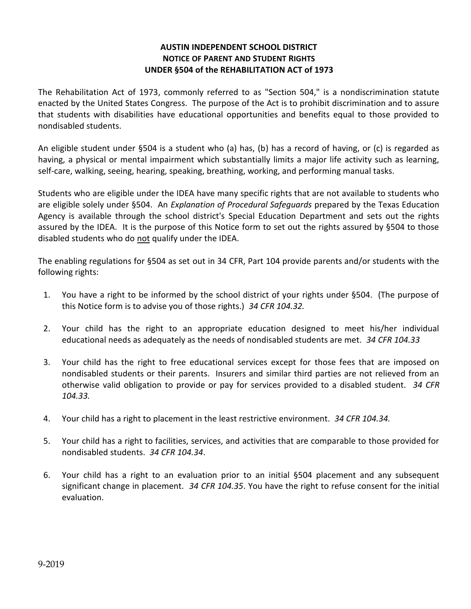## **AUSTIN INDEPENDENT SCHOOL DISTRICT NOTICE OF PARENT AND STUDENT RIGHTS UNDER §504 of the REHABILITATION ACT of 1973**

The Rehabilitation Act of 1973, commonly referred to as "Section 504," is a nondiscrimination statute enacted by the United States Congress. The purpose of the Act is to prohibit discrimination and to assure that students with disabilities have educational opportunities and benefits equal to those provided to nondisabled students.

An eligible student under §504 is a student who (a) has, (b) has a record of having, or (c) is regarded as having, a physical or mental impairment which substantially limits a major life activity such as learning, self-care, walking, seeing, hearing, speaking, breathing, working, and performing manual tasks.

Students who are eligible under the IDEA have many specific rights that are not available to students who are eligible solely under §504. An *Explanation of Procedural Safeguards* prepared by the Texas Education Agency is available through the school district's Special Education Department and sets out the rights assured by the IDEA. It is the purpose of this Notice form to set out the rights assured by §504 to those disabled students who do not qualify under the IDEA.

The enabling regulations for §504 as set out in 34 CFR, Part 104 provide parents and/or students with the following rights:

- 1. You have a right to be informed by the school district of your rights under §504. (The purpose of this Notice form is to advise you of those rights.) *34 CFR 104.32.*
- 2. Your child has the right to an appropriate education designed to meet his/her individual educational needs as adequately as the needs of nondisabled students are met. *34 CFR 104.33*
- 3. Your child has the right to free educational services except for those fees that are imposed on nondisabled students or their parents. Insurers and similar third parties are not relieved from an otherwise valid obligation to provide or pay for services provided to a disabled student. *34 CFR 104.33.*
- 4. Your child has a right to placement in the least restrictive environment. *34 CFR 104.34.*
- 5. Your child has a right to facilities, services, and activities that are comparable to those provided for nondisabled students. *34 CFR 104.34*.
- 6. Your child has a right to an evaluation prior to an initial §504 placement and any subsequent significant change in placement. *34 CFR 104.35*. You have the right to refuse consent for the initial evaluation.